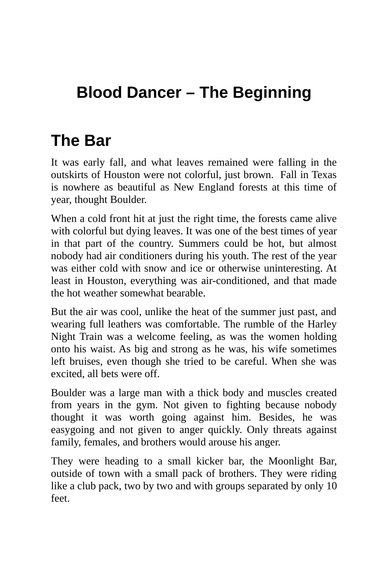# **Blood Dancer – The Beginning**

# **The Bar**

It was early fall, and what leaves remained were falling in the outskirts of Houston were not colorful, just brown. Fall in Texas is nowhere as beautiful as New England forests at this time of year, thought Boulder.

When a cold front hit at just the right time, the forests came alive with colorful but dying leaves. It was one of the best times of year in that part of the country. Summers could be hot, but almost nobody had air conditioners during his youth. The rest of the year was either cold with snow and ice or otherwise uninteresting. At least in Houston, everything was air-conditioned, and that made the hot weather somewhat bearable.

But the air was cool, unlike the heat of the summer just past, and wearing full leathers was comfortable. The rumble of the Harley Night Train was a welcome feeling, as was the women holding onto his waist. As big and strong as he was, his wife sometimes left bruises, even though she tried to be careful. When she was excited, all bets were off.

Boulder was a large man with a thick body and muscles created from years in the gym. Not given to fighting because nobody thought it was worth going against him. Besides, he was easygoing and not given to anger quickly. Only threats against family, females, and brothers would arouse his anger.

They were heading to a small kicker bar, the Moonlight Bar, outside of town with a small pack of brothers. They were riding like a club pack, two by two and with groups separated by only 10 feet.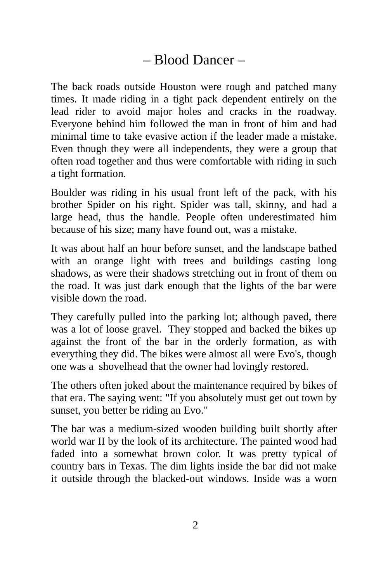The back roads outside Houston were rough and patched many times. It made riding in a tight pack dependent entirely on the lead rider to avoid major holes and cracks in the roadway. Everyone behind him followed the man in front of him and had minimal time to take evasive action if the leader made a mistake. Even though they were all independents, they were a group that often road together and thus were comfortable with riding in such a tight formation.

Boulder was riding in his usual front left of the pack, with his brother Spider on his right. Spider was tall, skinny, and had a large head, thus the handle. People often underestimated him because of his size; many have found out, was a mistake.

It was about half an hour before sunset, and the landscape bathed with an orange light with trees and buildings casting long shadows, as were their shadows stretching out in front of them on the road. It was just dark enough that the lights of the bar were visible down the road.

They carefully pulled into the parking lot; although paved, there was a lot of loose gravel. They stopped and backed the bikes up against the front of the bar in the orderly formation, as with everything they did. The bikes were almost all were Evo's, though one was a shovelhead that the owner had lovingly restored.

The others often joked about the maintenance required by bikes of that era. The saying went: "If you absolutely must get out town by sunset, you better be riding an Evo."

The bar was a medium-sized wooden building built shortly after world war II by the look of its architecture. The painted wood had faded into a somewhat brown color. It was pretty typical of country bars in Texas. The dim lights inside the bar did not make it outside through the blacked-out windows. Inside was a worn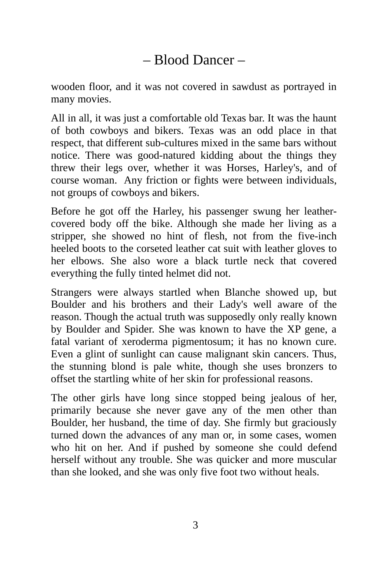wooden floor, and it was not covered in sawdust as portrayed in many movies.

All in all, it was just a comfortable old Texas bar. It was the haunt of both cowboys and bikers. Texas was an odd place in that respect, that different sub-cultures mixed in the same bars without notice. There was good-natured kidding about the things they threw their legs over, whether it was Horses, Harley's, and of course woman. Any friction or fights were between individuals, not groups of cowboys and bikers.

Before he got off the Harley, his passenger swung her leathercovered body off the bike. Although she made her living as a stripper, she showed no hint of flesh, not from the five-inch heeled boots to the corseted leather cat suit with leather gloves to her elbows. She also wore a black turtle neck that covered everything the fully tinted helmet did not.

Strangers were always startled when Blanche showed up, but Boulder and his brothers and their Lady's well aware of the reason. Though the actual truth was supposedly only really known by Boulder and Spider. She was known to have the XP gene, a fatal variant of xeroderma pigmentosum; it has no known cure. Even a glint of sunlight can cause malignant skin cancers. Thus, the stunning blond is pale white, though she uses bronzers to offset the startling white of her skin for professional reasons.

The other girls have long since stopped being jealous of her, primarily because she never gave any of the men other than Boulder, her husband, the time of day. She firmly but graciously turned down the advances of any man or, in some cases, women who hit on her. And if pushed by someone she could defend herself without any trouble. She was quicker and more muscular than she looked, and she was only five foot two without heals.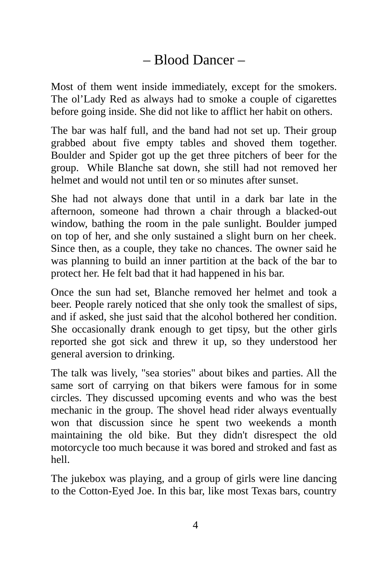Most of them went inside immediately, except for the smokers. The ol'Lady Red as always had to smoke a couple of cigarettes before going inside. She did not like to afflict her habit on others.

The bar was half full, and the band had not set up. Their group grabbed about five empty tables and shoved them together. Boulder and Spider got up the get three pitchers of beer for the group. While Blanche sat down, she still had not removed her helmet and would not until ten or so minutes after sunset.

She had not always done that until in a dark bar late in the afternoon, someone had thrown a chair through a blacked-out window, bathing the room in the pale sunlight. Boulder jumped on top of her, and she only sustained a slight burn on her cheek. Since then, as a couple, they take no chances. The owner said he was planning to build an inner partition at the back of the bar to protect her. He felt bad that it had happened in his bar.

Once the sun had set, Blanche removed her helmet and took a beer. People rarely noticed that she only took the smallest of sips, and if asked, she just said that the alcohol bothered her condition. She occasionally drank enough to get tipsy, but the other girls reported she got sick and threw it up, so they understood her general aversion to drinking.

The talk was lively, "sea stories" about bikes and parties. All the same sort of carrying on that bikers were famous for in some circles. They discussed upcoming events and who was the best mechanic in the group. The shovel head rider always eventually won that discussion since he spent two weekends a month maintaining the old bike. But they didn't disrespect the old motorcycle too much because it was bored and stroked and fast as hell.

The jukebox was playing, and a group of girls were line dancing to the Cotton-Eyed Joe. In this bar, like most Texas bars, country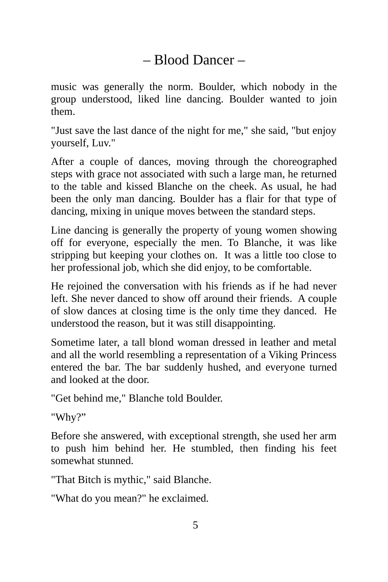music was generally the norm. Boulder, which nobody in the group understood, liked line dancing. Boulder wanted to join them.

"Just save the last dance of the night for me," she said, "but enjoy yourself, Luv."

After a couple of dances, moving through the choreographed steps with grace not associated with such a large man, he returned to the table and kissed Blanche on the cheek. As usual, he had been the only man dancing. Boulder has a flair for that type of dancing, mixing in unique moves between the standard steps.

Line dancing is generally the property of young women showing off for everyone, especially the men. To Blanche, it was like stripping but keeping your clothes on. It was a little too close to her professional job, which she did enjoy, to be comfortable.

He rejoined the conversation with his friends as if he had never left. She never danced to show off around their friends. A couple of slow dances at closing time is the only time they danced. He understood the reason, but it was still disappointing.

Sometime later, a tall blond woman dressed in leather and metal and all the world resembling a representation of a Viking Princess entered the bar. The bar suddenly hushed, and everyone turned and looked at the door.

"Get behind me," Blanche told Boulder.

"Why?"

Before she answered, with exceptional strength, she used her arm to push him behind her. He stumbled, then finding his feet somewhat stunned.

"That Bitch is mythic," said Blanche.

"What do you mean?" he exclaimed.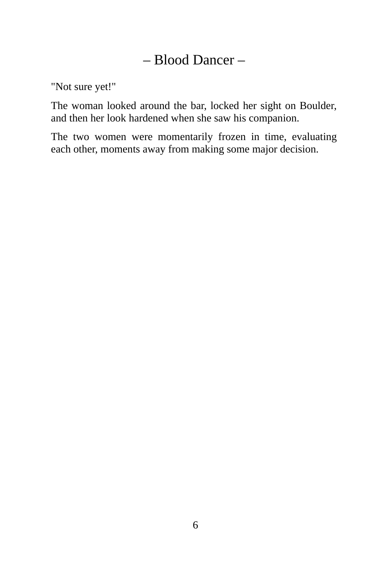"Not sure yet!"

The woman looked around the bar, locked her sight on Boulder, and then her look hardened when she saw his companion.

The two women were momentarily frozen in time, evaluating each other, moments away from making some major decision.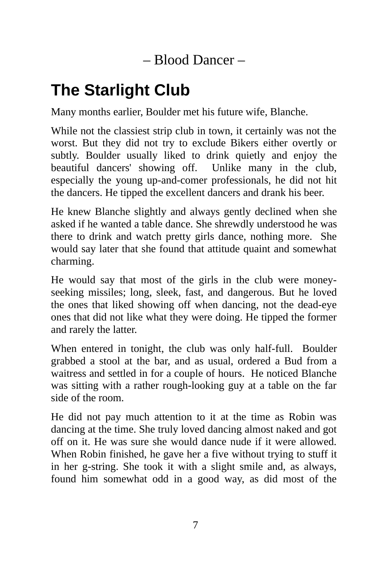# **The Starlight Club**

Many months earlier, Boulder met his future wife, Blanche.

While not the classiest strip club in town, it certainly was not the worst. But they did not try to exclude Bikers either overtly or subtly. Boulder usually liked to drink quietly and enjoy the beautiful dancers' showing off. Unlike many in the club, especially the young up-and-comer professionals, he did not hit the dancers. He tipped the excellent dancers and drank his beer.

He knew Blanche slightly and always gently declined when she asked if he wanted a table dance. She shrewdly understood he was there to drink and watch pretty girls dance, nothing more. She would say later that she found that attitude quaint and somewhat charming.

He would say that most of the girls in the club were moneyseeking missiles; long, sleek, fast, and dangerous. But he loved the ones that liked showing off when dancing, not the dead-eye ones that did not like what they were doing. He tipped the former and rarely the latter.

When entered in tonight, the club was only half-full. Boulder grabbed a stool at the bar, and as usual, ordered a Bud from a waitress and settled in for a couple of hours. He noticed Blanche was sitting with a rather rough-looking guy at a table on the far side of the room.

He did not pay much attention to it at the time as Robin was dancing at the time. She truly loved dancing almost naked and got off on it. He was sure she would dance nude if it were allowed. When Robin finished, he gave her a five without trying to stuff it in her g-string. She took it with a slight smile and, as always, found him somewhat odd in a good way, as did most of the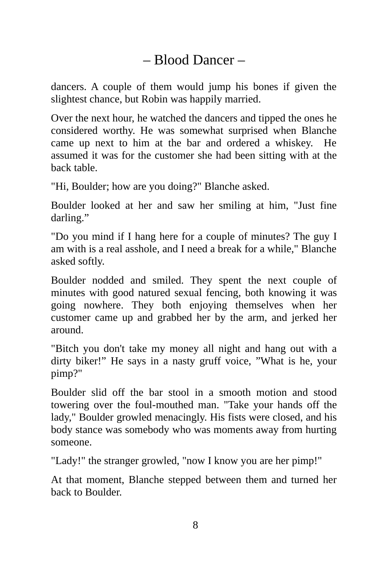dancers. A couple of them would jump his bones if given the slightest chance, but Robin was happily married.

Over the next hour, he watched the dancers and tipped the ones he considered worthy. He was somewhat surprised when Blanche came up next to him at the bar and ordered a whiskey. He assumed it was for the customer she had been sitting with at the back table.

"Hi, Boulder; how are you doing?" Blanche asked.

Boulder looked at her and saw her smiling at him, "Just fine darling."

"Do you mind if I hang here for a couple of minutes? The guy I am with is a real asshole, and I need a break for a while," Blanche asked softly.

Boulder nodded and smiled. They spent the next couple of minutes with good natured sexual fencing, both knowing it was going nowhere. They both enjoying themselves when her customer came up and grabbed her by the arm, and jerked her around.

"Bitch you don't take my money all night and hang out with a dirty biker!" He says in a nasty gruff voice, "What is he, your pimp?"

Boulder slid off the bar stool in a smooth motion and stood towering over the foul-mouthed man. "Take your hands off the lady," Boulder growled menacingly. His fists were closed, and his body stance was somebody who was moments away from hurting someone.

"Lady!" the stranger growled, "now I know you are her pimp!"

At that moment, Blanche stepped between them and turned her back to Boulder.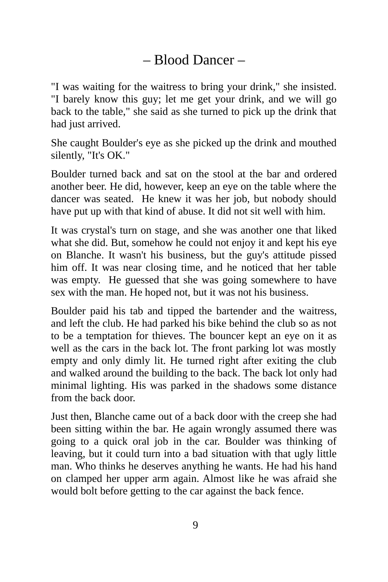"I was waiting for the waitress to bring your drink," she insisted. "I barely know this guy; let me get your drink, and we will go back to the table," she said as she turned to pick up the drink that had just arrived.

She caught Boulder's eye as she picked up the drink and mouthed silently, "It's OK."

Boulder turned back and sat on the stool at the bar and ordered another beer. He did, however, keep an eye on the table where the dancer was seated. He knew it was her job, but nobody should have put up with that kind of abuse. It did not sit well with him.

It was crystal's turn on stage, and she was another one that liked what she did. But, somehow he could not enjoy it and kept his eye on Blanche. It wasn't his business, but the guy's attitude pissed him off. It was near closing time, and he noticed that her table was empty. He guessed that she was going somewhere to have sex with the man. He hoped not, but it was not his business.

Boulder paid his tab and tipped the bartender and the waitress, and left the club. He had parked his bike behind the club so as not to be a temptation for thieves. The bouncer kept an eye on it as well as the cars in the back lot. The front parking lot was mostly empty and only dimly lit. He turned right after exiting the club and walked around the building to the back. The back lot only had minimal lighting. His was parked in the shadows some distance from the back door.

Just then, Blanche came out of a back door with the creep she had been sitting within the bar. He again wrongly assumed there was going to a quick oral job in the car. Boulder was thinking of leaving, but it could turn into a bad situation with that ugly little man. Who thinks he deserves anything he wants. He had his hand on clamped her upper arm again. Almost like he was afraid she would bolt before getting to the car against the back fence.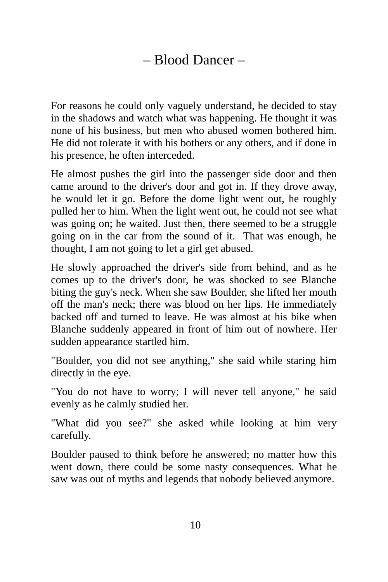For reasons he could only vaguely understand, he decided to stay in the shadows and watch what was happening. He thought it was none of his business, but men who abused women bothered him. He did not tolerate it with his bothers or any others, and if done in his presence, he often interceded.

He almost pushes the girl into the passenger side door and then came around to the driver's door and got in. If they drove away, he would let it go. Before the dome light went out, he roughly pulled her to him. When the light went out, he could not see what was going on; he waited. Just then, there seemed to be a struggle going on in the car from the sound of it. That was enough, he thought, I am not going to let a girl get abused.

He slowly approached the driver's side from behind, and as he comes up to the driver's door, he was shocked to see Blanche biting the guy's neck. When she saw Boulder, she lifted her mouth off the man's neck; there was blood on her lips. He immediately backed off and turned to leave. He was almost at his bike when Blanche suddenly appeared in front of him out of nowhere. Her sudden appearance startled him.

"Boulder, you did not see anything," she said while staring him directly in the eye.

"You do not have to worry; I will never tell anyone," he said evenly as he calmly studied her.

"What did you see?" she asked while looking at him very carefully.

Boulder paused to think before he answered; no matter how this went down, there could be some nasty consequences. What he saw was out of myths and legends that nobody believed anymore.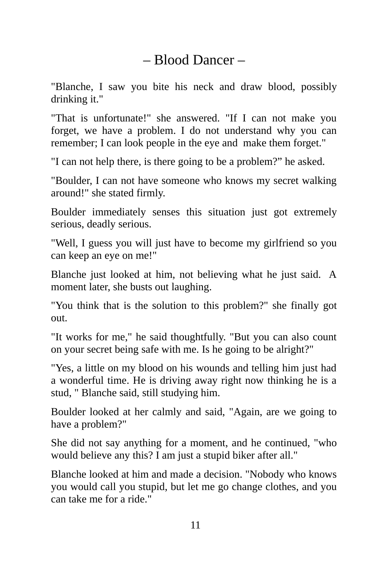"Blanche, I saw you bite his neck and draw blood, possibly drinking it."

"That is unfortunate!" she answered. "If I can not make you forget, we have a problem. I do not understand why you can remember; I can look people in the eye and make them forget."

"I can not help there, is there going to be a problem?" he asked.

"Boulder, I can not have someone who knows my secret walking around!" she stated firmly.

Boulder immediately senses this situation just got extremely serious, deadly serious.

"Well, I guess you will just have to become my girlfriend so you can keep an eye on me!"

Blanche just looked at him, not believing what he just said. A moment later, she busts out laughing.

"You think that is the solution to this problem?" she finally got out.

"It works for me," he said thoughtfully. "But you can also count on your secret being safe with me. Is he going to be alright?"

"Yes, a little on my blood on his wounds and telling him just had a wonderful time. He is driving away right now thinking he is a stud, " Blanche said, still studying him.

Boulder looked at her calmly and said, "Again, are we going to have a problem?"

She did not say anything for a moment, and he continued, "who would believe any this? I am just a stupid biker after all."

Blanche looked at him and made a decision. "Nobody who knows you would call you stupid, but let me go change clothes, and you can take me for a ride."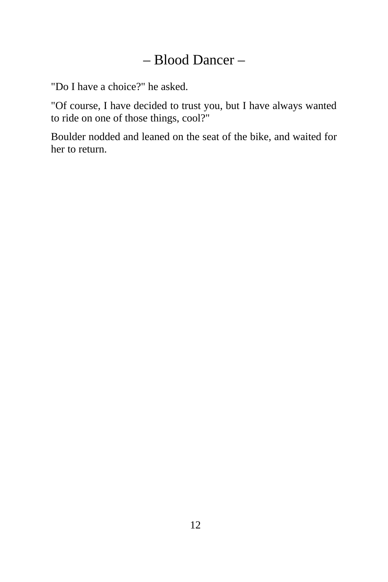"Do I have a choice?" he asked.

"Of course, I have decided to trust you, but I have always wanted to ride on one of those things, cool?"

Boulder nodded and leaned on the seat of the bike, and waited for her to return.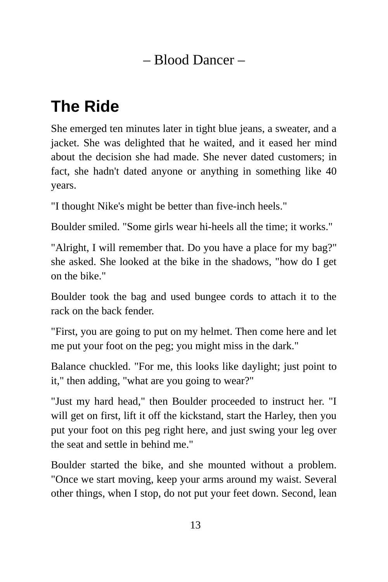# **The Ride**

She emerged ten minutes later in tight blue jeans, a sweater, and a jacket. She was delighted that he waited, and it eased her mind about the decision she had made. She never dated customers; in fact, she hadn't dated anyone or anything in something like 40 years.

"I thought Nike's might be better than five-inch heels."

Boulder smiled. "Some girls wear hi-heels all the time; it works."

"Alright, I will remember that. Do you have a place for my bag?" she asked. She looked at the bike in the shadows, "how do I get on the bike."

Boulder took the bag and used bungee cords to attach it to the rack on the back fender.

"First, you are going to put on my helmet. Then come here and let me put your foot on the peg; you might miss in the dark."

Balance chuckled. "For me, this looks like daylight; just point to it," then adding, "what are you going to wear?"

"Just my hard head," then Boulder proceeded to instruct her. "I will get on first, lift it off the kickstand, start the Harley, then you put your foot on this peg right here, and just swing your leg over the seat and settle in behind me."

Boulder started the bike, and she mounted without a problem. "Once we start moving, keep your arms around my waist. Several other things, when I stop, do not put your feet down. Second, lean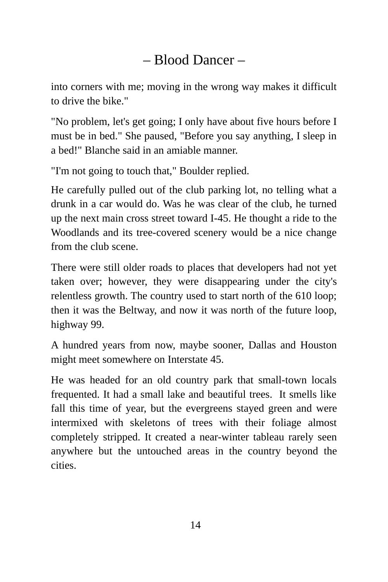into corners with me; moving in the wrong way makes it difficult to drive the bike."

"No problem, let's get going; I only have about five hours before I must be in bed." She paused, "Before you say anything, I sleep in a bed!" Blanche said in an amiable manner.

"I'm not going to touch that," Boulder replied.

He carefully pulled out of the club parking lot, no telling what a drunk in a car would do. Was he was clear of the club, he turned up the next main cross street toward I-45. He thought a ride to the Woodlands and its tree-covered scenery would be a nice change from the club scene.

There were still older roads to places that developers had not yet taken over; however, they were disappearing under the city's relentless growth. The country used to start north of the 610 loop; then it was the Beltway, and now it was north of the future loop, highway 99.

A hundred years from now, maybe sooner, Dallas and Houston might meet somewhere on Interstate 45.

He was headed for an old country park that small-town locals frequented. It had a small lake and beautiful trees. It smells like fall this time of year, but the evergreens stayed green and were intermixed with skeletons of trees with their foliage almost completely stripped. It created a near-winter tableau rarely seen anywhere but the untouched areas in the country beyond the cities.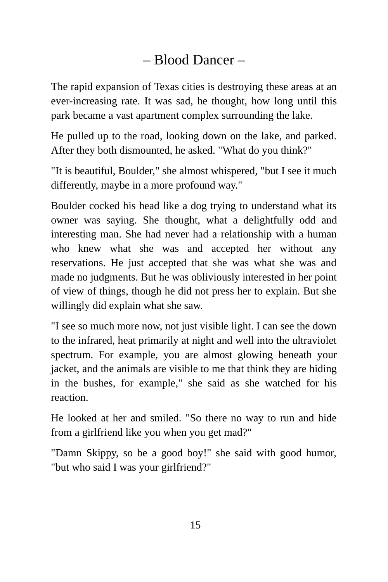The rapid expansion of Texas cities is destroying these areas at an ever-increasing rate. It was sad, he thought, how long until this park became a vast apartment complex surrounding the lake.

He pulled up to the road, looking down on the lake, and parked. After they both dismounted, he asked. "What do you think?"

"It is beautiful, Boulder," she almost whispered, "but I see it much differently, maybe in a more profound way."

Boulder cocked his head like a dog trying to understand what its owner was saying. She thought, what a delightfully odd and interesting man. She had never had a relationship with a human who knew what she was and accepted her without any reservations. He just accepted that she was what she was and made no judgments. But he was obliviously interested in her point of view of things, though he did not press her to explain. But she willingly did explain what she saw.

"I see so much more now, not just visible light. I can see the down to the infrared, heat primarily at night and well into the ultraviolet spectrum. For example, you are almost glowing beneath your jacket, and the animals are visible to me that think they are hiding in the bushes, for example," she said as she watched for his reaction.

He looked at her and smiled. "So there no way to run and hide from a girlfriend like you when you get mad?"

"Damn Skippy, so be a good boy!" she said with good humor, "but who said I was your girlfriend?"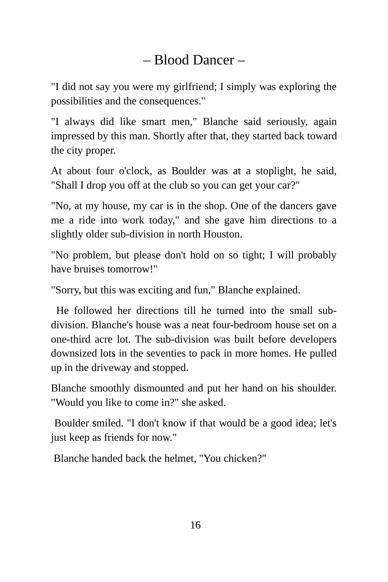"I did not say you were my girlfriend; I simply was exploring the possibilities and the consequences."

"I always did like smart men," Blanche said seriously, again impressed by this man. Shortly after that, they started back toward the city proper.

At about four o'clock, as Boulder was at a stoplight, he said, "Shall I drop you off at the club so you can get your car?"

"No, at my house, my car is in the shop. One of the dancers gave me a ride into work today," and she gave him directions to a slightly older sub-division in north Houston.

"No problem, but please don't hold on so tight; I will probably have bruises tomorrow!"

"Sorry, but this was exciting and fun," Blanche explained.

 He followed her directions till he turned into the small subdivision. Blanche's house was a neat four-bedroom house set on a one-third acre lot. The sub-division was built before developers downsized lots in the seventies to pack in more homes. He pulled up in the driveway and stopped.

Blanche smoothly dismounted and put her hand on his shoulder. "Would you like to come in?" she asked.

 Boulder smiled. "I don't know if that would be a good idea; let's just keep as friends for now."

Blanche handed back the helmet, "You chicken?"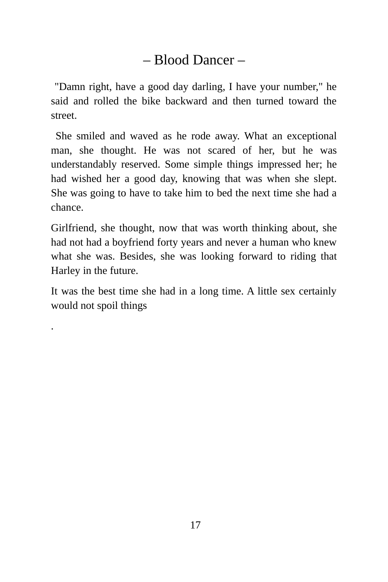"Damn right, have a good day darling, I have your number," he said and rolled the bike backward and then turned toward the street.

 She smiled and waved as he rode away. What an exceptional man, she thought. He was not scared of her, but he was understandably reserved. Some simple things impressed her; he had wished her a good day, knowing that was when she slept. She was going to have to take him to bed the next time she had a chance.

Girlfriend, she thought, now that was worth thinking about, she had not had a boyfriend forty years and never a human who knew what she was. Besides, she was looking forward to riding that Harley in the future.

It was the best time she had in a long time. A little sex certainly would not spoil things

.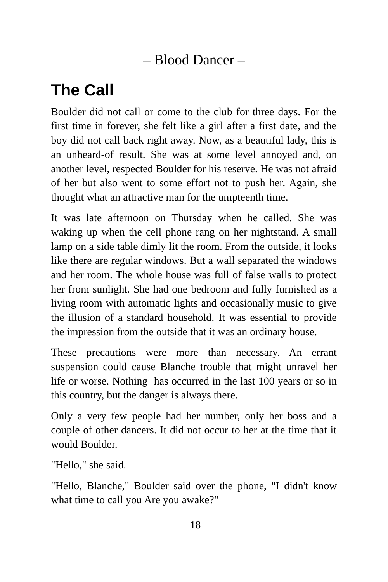# **The Call**

Boulder did not call or come to the club for three days. For the first time in forever, she felt like a girl after a first date, and the boy did not call back right away. Now, as a beautiful lady, this is an unheard-of result. She was at some level annoyed and, on another level, respected Boulder for his reserve. He was not afraid of her but also went to some effort not to push her. Again, she thought what an attractive man for the umpteenth time.

It was late afternoon on Thursday when he called. She was waking up when the cell phone rang on her nightstand. A small lamp on a side table dimly lit the room. From the outside, it looks like there are regular windows. But a wall separated the windows and her room. The whole house was full of false walls to protect her from sunlight. She had one bedroom and fully furnished as a living room with automatic lights and occasionally music to give the illusion of a standard household. It was essential to provide the impression from the outside that it was an ordinary house.

These precautions were more than necessary. An errant suspension could cause Blanche trouble that might unravel her life or worse. Nothing has occurred in the last 100 years or so in this country, but the danger is always there.

Only a very few people had her number, only her boss and a couple of other dancers. It did not occur to her at the time that it would Boulder.

"Hello," she said.

"Hello, Blanche," Boulder said over the phone, "I didn't know what time to call you Are you awake?"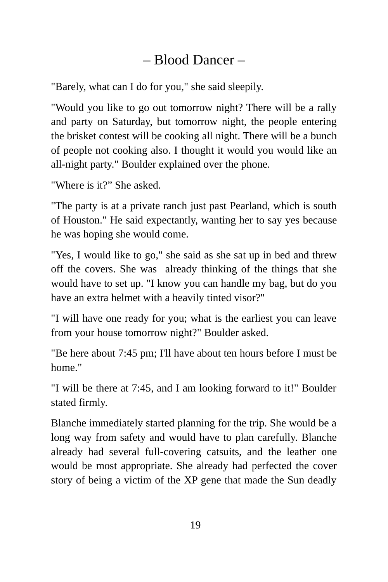"Barely, what can I do for you," she said sleepily.

"Would you like to go out tomorrow night? There will be a rally and party on Saturday, but tomorrow night, the people entering the brisket contest will be cooking all night. There will be a bunch of people not cooking also. I thought it would you would like an all-night party." Boulder explained over the phone.

"Where is it?" She asked.

"The party is at a private ranch just past Pearland, which is south of Houston." He said expectantly, wanting her to say yes because he was hoping she would come.

"Yes, I would like to go," she said as she sat up in bed and threw off the covers. She was already thinking of the things that she would have to set up. "I know you can handle my bag, but do you have an extra helmet with a heavily tinted visor?"

"I will have one ready for you; what is the earliest you can leave from your house tomorrow night?" Boulder asked.

"Be here about 7:45 pm; I'll have about ten hours before I must be home."

"I will be there at 7:45, and I am looking forward to it!" Boulder stated firmly.

Blanche immediately started planning for the trip. She would be a long way from safety and would have to plan carefully. Blanche already had several full-covering catsuits, and the leather one would be most appropriate. She already had perfected the cover story of being a victim of the XP gene that made the Sun deadly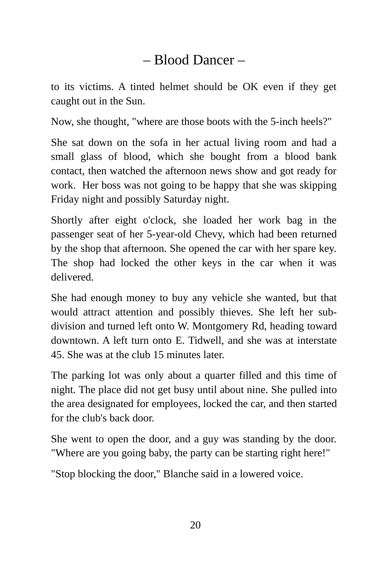to its victims. A tinted helmet should be OK even if they get caught out in the Sun.

Now, she thought, "where are those boots with the 5-inch heels?"

She sat down on the sofa in her actual living room and had a small glass of blood, which she bought from a blood bank contact, then watched the afternoon news show and got ready for work. Her boss was not going to be happy that she was skipping Friday night and possibly Saturday night.

Shortly after eight o'clock, she loaded her work bag in the passenger seat of her 5-year-old Chevy, which had been returned by the shop that afternoon. She opened the car with her spare key. The shop had locked the other keys in the car when it was delivered.

She had enough money to buy any vehicle she wanted, but that would attract attention and possibly thieves. She left her subdivision and turned left onto W. Montgomery Rd, heading toward downtown. A left turn onto E. Tidwell, and she was at interstate 45. She was at the club 15 minutes later.

The parking lot was only about a quarter filled and this time of night. The place did not get busy until about nine. She pulled into the area designated for employees, locked the car, and then started for the club's back door.

She went to open the door, and a guy was standing by the door. "Where are you going baby, the party can be starting right here!"

"Stop blocking the door," Blanche said in a lowered voice.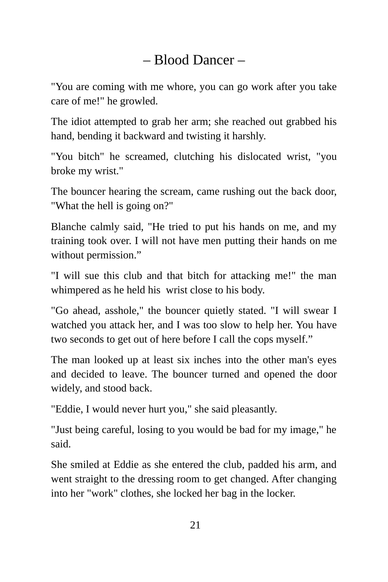"You are coming with me whore, you can go work after you take care of me!" he growled.

The idiot attempted to grab her arm; she reached out grabbed his hand, bending it backward and twisting it harshly.

"You bitch" he screamed, clutching his dislocated wrist, "you broke my wrist."

The bouncer hearing the scream, came rushing out the back door, "What the hell is going on?"

Blanche calmly said, "He tried to put his hands on me, and my training took over. I will not have men putting their hands on me without permission."

"I will sue this club and that bitch for attacking me!" the man whimpered as he held his wrist close to his body.

"Go ahead, asshole," the bouncer quietly stated. "I will swear I watched you attack her, and I was too slow to help her. You have two seconds to get out of here before I call the cops myself."

The man looked up at least six inches into the other man's eyes and decided to leave. The bouncer turned and opened the door widely, and stood back.

"Eddie, I would never hurt you," she said pleasantly.

"Just being careful, losing to you would be bad for my image," he said.

She smiled at Eddie as she entered the club, padded his arm, and went straight to the dressing room to get changed. After changing into her "work" clothes, she locked her bag in the locker.